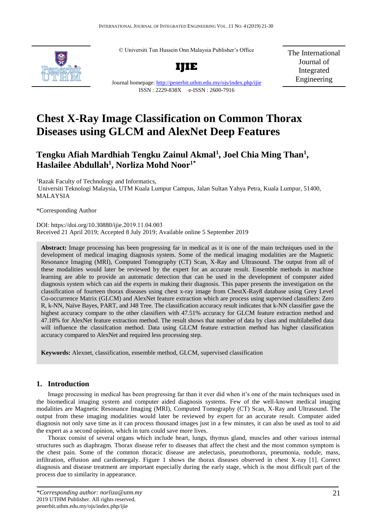© Universiti Tun Hussein Onn Malaysia Publisher's Office



**IJIE**

The International Journal of Integrated Engineering

# Journal homepage:<http://penerbit.uthm.edu.my/ojs/index.php/ijie> ISSN : 2229-838X e-ISSN : 2600-7916

# **Chest X-Ray Image Classification on Common Thorax Diseases using GLCM and AlexNet Deep Features**

# **Tengku Afiah Mardhiah Tengku Zainul Akmal<sup>1</sup> , Joel Chia Ming Than<sup>1</sup> , Haslailee Abdullah<sup>1</sup> , Norliza Mohd Noor1\***

<sup>1</sup>Razak Faculty of Technology and Informatics, Universiti Teknologi Malaysia, UTM Kuala Lumpur Campus, Jalan Sultan Yahya Petra, Kuala Lumpur, 51400, MALAYSIA

\*Corresponding Author

DOI: https://doi.org/10.30880/ijie.2019.11.04.003 Received 21 April 2019; Accepted 8 July 2019; Available online 5 September 2019

**Abstract:** Image processing has been progressing far in medical as it is one of the main techniques used in the development of medical imaging diagnosis system. Some of the medical imaging modalities are the Magnetic Resonance Imaging (MRI), Computed Tomography (CT) Scan, X-Ray and Ultrasound. The output from all of these modalities would later be reviewed by the expert for an accurate result. Ensemble methods in machine learning are able to provide an automatic detection that can be used in the development of computer aided diagnosis system which can aid the experts in making their diagnosis. This paper presents the investigation on the classification of fourteen thorax diseases using chest x-ray image from ChestX-Ray8 database using Grey Level Co-occurrence Matrix (GLCM) and AlexNet feature extraction which are process using supervised classifiers: Zero R, k-NN, Naïve Bayes, PART, and J48 Tree. The classification accuracy result indicates that k-NN classifier gave the highest accuracy compare to the other classifiers with 47.51% accuracy for GLCM feature extraction method and 47.18% for AlexNet feature extraction method. The result shows that number of data by class and multilabelled data will influence the classifcation method. Data using GLCM feature extraction method has higher classification accuracy compared to AlexNet and required less processing step.

**Keywords:** Alexnet, classification, ensemble method, GLCM, supervised classification

# **1. Introduction**

Image processing in medical has been progressing far than it ever did when it's one of the main techniques used in the biomedical imaging system and computer aided diagnosis systems. Few of the well-known medical imaging modalities are Magnetic Resonance Imaging (MRI), Computed Tomography (CT) Scan, X-Ray and Ultrasound. The output from these imaging modalities would later be reviewed by expert for an accurate result. Computer aided diagnosis not only save time as it can process thousand images just in a few minutes, it can also be used as tool to aid the expert as a second opinion, which in turn could save more lives.

Thorax consist of several organs which include heart, lungs, thymus gland, muscles and other various internal structures such as diaphragm. Thorax disease refer to diseases that affect the chest and the most common symptom is the chest pain. Some of the common thoracic disease are atelectasis, pneumothorax, pneumonia, nodule, mass, infiltration, effusion and cardiomegaly. Figure 1 shows the thorax diseases observed in chest X-ray [1]. Correct diagnosis and disease treatment are important especially during the early stage, which is the most difficult part of the process due to similarity in appearance.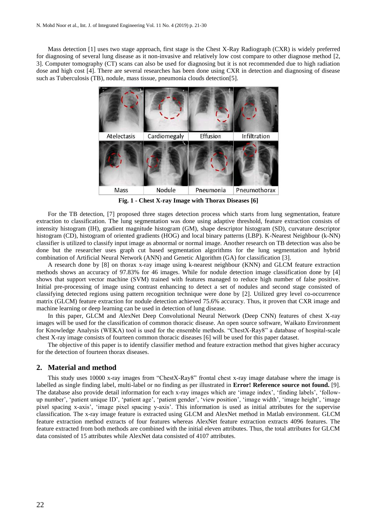Mass detection [1] uses two stage approach, first stage is the Chest X-Ray Radiograph (CXR) is widely preferred for diagnosing of several lung disease as it non-invasive and relatively low cost compare to other diagnose method [2, 3]. Computer tomography (CT) scans can also be used for diagnosing but it is not recommended due to high radiation dose and high cost [4]. There are several researches has been done using CXR in detection and diagnosing of disease such as Tuberculosis (TB), nodule, mass tissue, pneumonia clouds detection[5].



**Fig. 1 - Chest X-ray Image with Thorax Diseases [6]**

For the TB detection, [7] proposed three stages detection process which starts from lung segmentation, feature extraction to classification. The lung segmentation was done using adaptive threshold, feature extraction consists of intensity histogram (IH), gradient magnitude histogram (GM), shape descriptor histogram (SD), curvature descriptor histogram (CD), histogram of oriented gradients (HOG) and local binary patterns (LBP). K-Nearest Neighbour (k-NN) classifier is utilized to classify input image as abnormal or normal image. Another research on TB detection was also be done but the researcher uses graph cut based segmentation algorithms for the lung segmentation and hybrid combination of Artificial Neural Network (ANN) and Genetic Algorithm (GA) for classification [3].

A research done by [8] on thorax x-ray image using k-nearest neighbour (KNN) and GLCM feature extraction methods shows an accuracy of 97.83% for 46 images. While for nodule detection image classification done by [4] shows that support vector machine (SVM) trained with features managed to reduce high number of false positive. Initial pre-processing of image using contrast enhancing to detect a set of nodules and second stage consisted of classifying detected regions using pattern recognition technique were done by [2]. Utilized grey level co-occurrence matrix (GLCM) feature extraction for nodule detection achieved 75.6% accuracy. Thus, it proven that CXR image and machine learning or deep learning can be used in detection of lung disease.

In this paper, GLCM and AlexNet Deep Convolutional Neural Network (Deep CNN) features of chest X-ray images will be used for the classification of common thoracic disease. An open source software, Waikato Environment for Knowledge Analysis (WEKA) tool is used for the ensemble methods. "ChestX-Ray8" a database of hospital-scale chest X-ray image consists of fourteen common thoracic diseases [6] will be used for this paper dataset.

The objective of this paper is to identify classifier method and feature extraction method that gives higher accuracy for the detection of fourteen thorax diseases.

# **2. Material and method**

This study uses 10000 x-ray images from "ChestX-Ray8" frontal chest x-ray image database where the image is labelled as single finding label, multi-label or no finding as per illustrated in **Error! Reference source not found.** [9]. The database also provide detail information for each x-ray images which are 'image index', 'finding labels', 'followup number', 'patient unique ID', 'patient age', 'patient gender', 'view position', 'image width', 'image height', 'image pixel spacing x-axis', 'image pixel spacing y-axis'. This information is used as initial attributes for the supervise classification. The x-ray image feature is extracted using GLCM and AlexNet method in Matlab environment. GLCM feature extraction method extracts of four features whereas AlexNet feature extraction extracts 4096 features. The feature extracted from both methods are combined with the initial eleven attributes. Thus, the total attributes for GLCM data consisted of 15 attributes while AlexNet data consisted of 4107 attributes.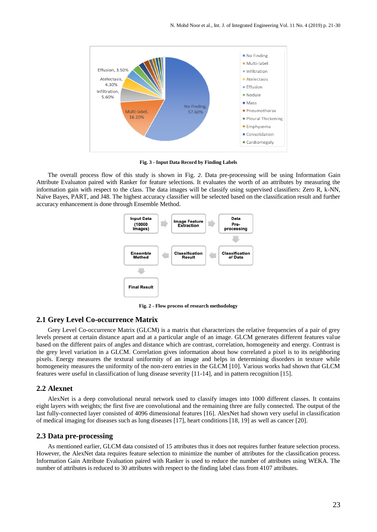

**Fig. 3 - Input Data Record by Finding Labels**

The overall process flow of this study is shown in [Fig.](#page-2-0) *2*. Data pre-processing will be using Information Gain Attribute Evaluaton paired with Ranker for feature selections. It evaluates the worth of an attributes by measuring the information gain with respect to the class. The data images will be classify using supervised classifiers: Zero R, k-NN, Naïve Bayes, PART, and J48. The highest accuracy classifier will be selected based on the classification result and further accuracy enhancement is done through Ensemble Method.



**Fig. 2 - Flow process of research methodology**

# <span id="page-2-0"></span>**2.1 Grey Level Co-occurrence Matrix**

Grey Level Co-occurrence Matrix (GLCM) is a matrix that characterizes the relative frequencies of a pair of grey levels present at certain distance apart and at a particular angle of an image. GLCM generates different features value based on the different pairs of angles and distance which are contrast, correlation, homogeneity and energy. Contrast is the grey level variation in a GLCM. Correlation gives information about how correlated a pixel is to its neighboring pixels. Energy measures the textural uniformity of an image and helps in determining disorders in texture while homogeneity measures the uniformity of the non-zero entries in the GLCM [10]. Various works had shown that GLCM features were useful in classification of lung disease severity [11-14], and in pattern recognition [15].

# **2.2 Alexnet**

AlexNet is a deep convolutional neural network used to classify images into 1000 different classes. It contains eight layers with weights; the first five are convolutional and the remaining three are fully connected. The output of the last fully-connected layer consisted of 4096 dimensional features [16]. AlexNet had shown very useful in classification of medical imaging for diseases such as lung diseases [17], heart conditions [18, 19] as well as cancer [20].

## **2.3 Data pre-processing**

As mentioned earlier, GLCM data consisted of 15 attributes thus it does not requires further feature selection process. However, the AlexNet data requires feature selection to minimize the number of attributes for the classification process. Information Gain Attribute Evaluation paired with Ranker is used to reduce the number of attributes using WEKA. The number of attributes is reduced to 30 attributes with respect to the finding label class from 4107 attributes.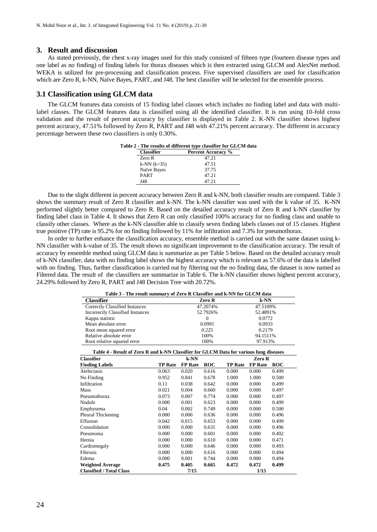# **3. Result and discussion**

As stated previously, the chest x-ray images used for this study consisted of fifteen type (fourteen disease types and one label as no finding) of finding labels for thorax diseases which is then extracted using GLCM and AlexNet method. WEKA is utilized for pre-processing and classification process. Five supervised classifiers are used for classification which are Zero R, k-NN, Naïve Bayes, PART, and J48. The best classifier will be selected for the ensemble process.

# **3.1 Classification using GLCM data**

<span id="page-3-0"></span>The GLCM features data consists of 15 finding label classes which includes no finding label and data with multilabel classes. The GLCM features data is classified using all the identified classifier. It is run using 10-fold cross validation and the result of percent accuracy by classifier is displayed in Table 2. K-NN classifier shows highest percent accuracy, 47.51% followed by Zero R, PART and J48 with 47.21% percent accuracy. The different in accuracy percentage between these two classifiers is only 0.30%.

| Table 2 - The results of different type classifier for GLCM data |  |  |  |
|------------------------------------------------------------------|--|--|--|
| <b>Percent Accuracy %</b>                                        |  |  |  |
| 47.21                                                            |  |  |  |
| 47.51                                                            |  |  |  |
| 37.75                                                            |  |  |  |
| 47.21                                                            |  |  |  |
| 47.21                                                            |  |  |  |
|                                                                  |  |  |  |

Due to the slight different in percent accuracy between Zero R and k-NN, both classifier results are compared. Table 3 shows the summary result of Zero R classifier and k-NN. The k-NN classifier was used with the k value of 35. K-NN performed slightly better compared to Zero R. Based on the detailed accuracy result of Zero R and k-NN classifier by finding label class in Table 4. It shows that Zero R can only classified 100% accuracy for no finding class and unable to classify other classes. Where as the k-NN classifier able to classify seven finding labels classes out of 15 classes. Highest true positive (TP) rate is 95.2% for no finding followed by 11% for infiltration and 7.3% for pneumothorax.

In order to further enhance the classification accuracy, ensemble method is carried out with the same dataset using k-NN classifier with k-value of 35. The result shows no significant improvement to the classification accuracy. The result of accuracy by ensemble method using GLCM data is summarize as per Table 5 below. Based on the detailed accuracy result of k-NN classifier, data with no finding label shows the highest accuracy which is relevant as 57.6% of the data is labelled with no finding. Thus, further classification is carried out by filtering out the no finding data, the dataset is now named as Filtered data. The result of the classifiers are summarize in Table 6. The k-NN classifier shows highest percent accuracy, 24.29% followed by Zero R, PART and J48 Decision Tree with 20.72%.

| Table 3 - The result summary of Zero R Classifier and k-NN for GLCM data |          |          |  |  |
|--------------------------------------------------------------------------|----------|----------|--|--|
| Classifier                                                               | Zero R   | $k-NN$   |  |  |
| Correctly Classified Instances                                           | 47.2074% | 47.5109% |  |  |
| <b>Incorrectly Classified Instances</b>                                  | 52.7926% | 52.4891% |  |  |
| Kappa statistic                                                          | $\Omega$ | 0.0772   |  |  |
| Mean absolute error                                                      | 0.0991   | 0.0933   |  |  |
| Root mean squared error                                                  | 0.225    | 0.2179   |  |  |
| Relative absolute error                                                  | 100%     | 94.1511% |  |  |
| Root relative squared error                                              | 100%     | 97.913%  |  |  |

| Table 4 - Result of Zero R and k-NN Classifier for GLCM Data for various lung diseases |                |                |            |                |                |            |
|----------------------------------------------------------------------------------------|----------------|----------------|------------|----------------|----------------|------------|
| <b>Classifier</b>                                                                      |                |                |            |                | Zero R         |            |
| <b>Finding Labels</b>                                                                  | <b>TP Rate</b> | <b>FP</b> Rate | <b>ROC</b> | <b>TP Rate</b> | <b>FP</b> Rate | <b>ROC</b> |
| Atelectasis                                                                            | 0.063          | 0.020          | 0.616      | 0.000          | 0.000          | 0.499      |
| No Finding                                                                             | 0.952          | 0.841          | 0.678      | 1.000          | 1.000          | 0.500      |
| Infiltration                                                                           | 0.11           | 0.038          | 0.642      | 0.000          | 0.000          | 0.499      |
| Mass                                                                                   | 0.021          | 0.004          | 0.660      | 0.000          | 0.000          | 0.497      |
| Pneumothorax                                                                           | 0.073          | 0.007          | 0.774      | 0.000          | 0.000          | 0.497      |
| Nodule                                                                                 | 0.000          | 0.001          | 0.623      | 0.000          | 0.000          | 0.499      |
| Emphysema                                                                              | 0.04           | 0.002          | 0.749      | 0.000          | 0.000          | 0.500      |
| Pleural Thickening                                                                     | 0.000          | 0.000          | 0.636      | 0.000          | 0.000          | 0.496      |
| Effusion                                                                               | 0.042          | 0.015          | 0.653      | 0.000          | 0.000          | 0.499      |
| Consolidation                                                                          | 0.000          | 0.000          | 0.631      | 0.000          | 0.000          | 0.496      |
| Pneumonia                                                                              | 0.000          | 0.000          | 0.601      | 0.000          | 0.000          | 0.492      |
| Hernia                                                                                 | 0.000          | 0.000          | 0.610      | 0.000          | 0.000          | 0.471      |
| Cardiomegaly                                                                           | 0.000          | 0.000          | 0.646      | 0.000          | 0.000          | 0.493      |
| Fibrosis                                                                               | 0.000          | 0.000          | 0.616      | 0.000          | 0.000          | 0.494      |
| Edema                                                                                  | 0.000          | 0.001          | 0.744      | 0.000          | 0.000          | 0.494      |
| <b>Weighted Average</b>                                                                | 0.475          | 0.405          | 0.665      | 0.472          | 0.472          | 0.499      |
| <b>Classified / Total Class</b>                                                        |                | 7/15           |            |                | 1/15           |            |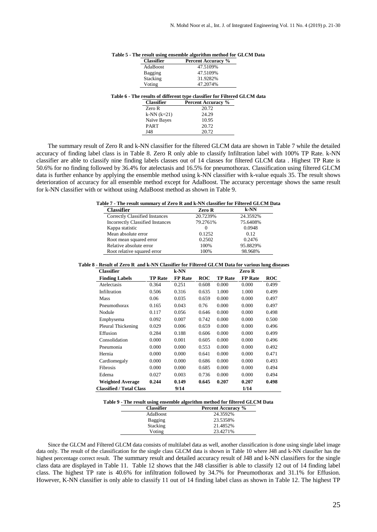| <b>Classifier</b>           | <b>Percent Accuracy %</b>                                                 |
|-----------------------------|---------------------------------------------------------------------------|
| AdaBoost                    | 47.5109%                                                                  |
| Bagging                     | 47.5109%                                                                  |
| Stacking                    | 31.9282%                                                                  |
| Voting                      | 47.2074%                                                                  |
|                             | Table 6 - The results of different type classifier for Filtered GLCM data |
|                             |                                                                           |
| <b>Classifier</b><br>Zero R | <b>Percent Accuracy %</b><br>20.72                                        |
| $k-NN (k=21)$               | 24.29                                                                     |
| Naïve Bayes                 | 10.95                                                                     |
| <b>PART</b>                 | 20.72                                                                     |

# **Table 5 - The result using ensemble algorithm method for GLCM Data**

The summary result of Zero R and k-NN classifier for the filtered GLCM data are shown in Table 7 while the detailed accuracy of finding label class is in Table 8. Zero R only able to classify Infiltration label with 100% TP Rate. k-NN classifier are able to classify nine finding labels classes out of 14 classes for filtered GLCM data . Highest TP Rate is 50.6% for no finding followed by 36.4% for atelectasis and 16.5% for pneumothorax. Classification using filtered GLCM data is further enhance by applying the ensemble method using k-NN classifier with k-value equals 35. The result shows deterioration of accuracy for all ensemble method except for AdaBoost. The accuracy percentage shows the same result for k-NN classifier with or without using AdaBoost method as shown in Table 9.

#### **Table 7 - The result summary of Zero R and k-NN classifier for Filtered GLCM Data**

| <b>Classifier</b>                       | Zero R   | $k$ -NN  |
|-----------------------------------------|----------|----------|
| Correctly Classified Instances          | 20.7239% | 24.3592% |
| <b>Incorrectly Classified Instances</b> | 79.2761% | 75.6408% |
| Kappa statistic                         |          | 0.0948   |
| Mean absolute error                     | 0.1252   | 0.12     |
| Root mean squared error                 | 0.2502   | 0.2476   |
| Relative absolute error                 | 100%     | 95.8829% |
| Root relative squared error             | 100%     | 98.968%  |

#### **Table 8 - Result of Zero R and k-NN Classifier for Filtered GLCM Data for various lung diseases**

| <b>Classifier</b>               |                | $k-NN$         |            |                | Zero R         |            |
|---------------------------------|----------------|----------------|------------|----------------|----------------|------------|
| <b>Finding Labels</b>           | <b>TP Rate</b> | <b>FP</b> Rate | <b>ROC</b> | <b>TP Rate</b> | <b>FP</b> Rate | <b>ROC</b> |
| Atelectasis                     | 0.364          | 0.251          | 0.608      | 0.000          | 0.000          | 0.499      |
| Infiltration                    | 0.506          | 0.316          | 0.635      | 1.000          | 1.000          | 0.499      |
| Mass                            | 0.06           | 0.035          | 0.659      | 0.000          | 0.000          | 0.497      |
| Pneumothorax                    | 0.165          | 0.043          | 0.76       | 0.000          | 0.000          | 0.497      |
| Nodule                          | 0.117          | 0.056          | 0.646      | 0.000          | 0.000          | 0.498      |
| Emphysema                       | 0.092          | 0.007          | 0.742      | 0.000          | 0.000          | 0.500      |
| Pleural Thickening              | 0.029          | 0.006          | 0.659      | 0.000          | 0.000          | 0.496      |
| Effusion                        | 0.284          | 0.188          | 0.606      | 0.000          | 0.000          | 0.499      |
| Consolidation                   | 0.000          | 0.001          | 0.605      | 0.000          | 0.000          | 0.496      |
| Pneumonia                       | 0.000          | 0.000          | 0.553      | 0.000          | 0.000          | 0.492      |
| Hernia                          | 0.000          | 0.000          | 0.641      | 0.000          | 0.000          | 0.471      |
| Cardiomegaly                    | 0.000          | 0.000          | 0.686      | 0.000          | 0.000          | 0.493      |
| Fibrosis                        | 0.000          | 0.000          | 0.685      | 0.000          | 0.000          | 0.494      |
| Edema                           | 0.027          | 0.003          | 0.736      | 0.000          | 0.000          | 0.494      |
| <b>Weighted Average</b>         | 0.244          | 0.149          | 0.645      | 0.207          | 0.207          | 0.498      |
| <b>Classified / Total Class</b> |                | 9/14           |            |                | 1/14           |            |

#### **Table 9 - The result using ensemble algorithm method for filtered GLCM Data**

| <b>Classifier</b> | <b>Percent Accuracy</b> % |
|-------------------|---------------------------|
| AdaBoost          | 24.3592%                  |
| Bagging           | 23.5358%                  |
| Stacking          | 21.4852%                  |
| Voting            | 23.4271%                  |

Since the GLCM and Filtered GLCM data consists of multilabel data as well, another classification is done using single label image data only. The result of the classification for the single class GLCM data is shown in Table 10 where J48 and k-NN classifier has the highest percentage correct result. The summary result and detailed accuracy result of J48 and k-NN classifiers for the single class data are displayed in Table 11. Table 12 shows that the J48 classifier is able to classify 12 out of 14 finding label class. The highest TP rate is 40.6% for infiltration followed by 34.7% for Pneumothorax and 31.1% for Effusion. However, K-NN classifier is only able to classify 11 out of 14 finding label class as shown in Table 12. The highest TP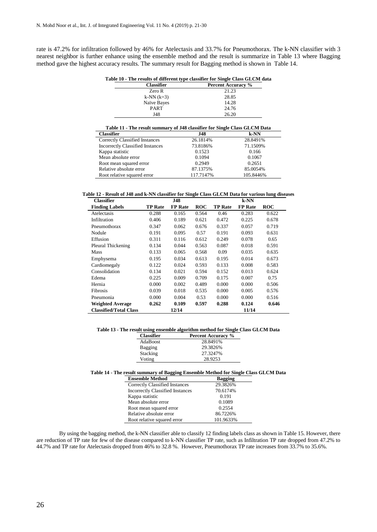$\overline{a}$ 

rate is 47.2% for infiltration followed by 46% for Atelectasis and 33.7% for Pneumothorax. The k-NN classifier with 3 nearest neighbor is further enhance using the ensemble method and the result is summarize in Table 13 where Bagging method gave the highest accuracy results. The summary result for Bagging method is shown in Table 14.

| Table 10 - The results of different type classifier for Single Class GLCM data |  |  |  |  |
|--------------------------------------------------------------------------------|--|--|--|--|
|                                                                                |  |  |  |  |

| <b>Classifier</b> | <b>Percent Accuracy</b> % |
|-------------------|---------------------------|
| Zero R            | 21.23                     |
| $k-NN (k=3)$      | 28.85                     |
| Naïve Bayes       | 14.28                     |
| <b>PART</b>       | 24.76                     |
| J48               | 26.20                     |

| Table 11 - The result summary of J48 classifier for Single Class GLCM Data |           |           |  |
|----------------------------------------------------------------------------|-----------|-----------|--|
| <b>Classifier</b>                                                          | J48       | $k$ -NN   |  |
| Correctly Classified Instances                                             | 26.1814%  | 28.8491%  |  |
| <b>Incorrectly Classified Instances</b>                                    | 73.8186%  | 71.1509%  |  |
| Kappa statistic                                                            | 0.1523    | 0.166     |  |
| Mean absolute error                                                        | 0.1094    | 0.1067    |  |
| Root mean squared error                                                    | 0.2949    | 0.2651    |  |
| Relative absolute error                                                    | 87.1375%  | 85.0054%  |  |
| Root relative squared error                                                | 117.7147% | 105.8446% |  |

**Table 12 - Result of J48 and k-NN classifier for Single Class GLCM Data for various lung diseases**

| <b>Classifier</b>             | J48            |                |            | $k-NN$         |                |            |
|-------------------------------|----------------|----------------|------------|----------------|----------------|------------|
| <b>Finding Labels</b>         | <b>TP Rate</b> | <b>FP</b> Rate | <b>ROC</b> | <b>TP Rate</b> | <b>FP</b> Rate | <b>ROC</b> |
| Atelectasis                   | 0.288          | 0.165          | 0.564      | 0.46           | 0.283          | 0.622      |
| Infiltration                  | 0.406          | 0.189          | 0.621      | 0.472          | 0.225          | 0.678      |
| Pneumothorax                  | 0.347          | 0.062          | 0.676      | 0.337          | 0.057          | 0.719      |
| Nodule                        | 0.191          | 0.095          | 0.57       | 0.191          | 0.093          | 0.631      |
| Effusion                      | 0.311          | 0.116          | 0.612      | 0.249          | 0.078          | 0.65       |
| Pleural Thickening            | 0.134          | 0.044          | 0.563      | 0.087          | 0.018          | 0.591      |
| Mass                          | 0.133          | 0.065          | 0.568      | 0.09           | 0.035          | 0.635      |
| Emphysema                     | 0.195          | 0.034          | 0.613      | 0.195          | 0.014          | 0.673      |
| Cardiomegaly                  | 0.122          | 0.024          | 0.593      | 0.133          | 0.008          | 0.583      |
| Consolidation                 | 0.134          | 0.021          | 0.594      | 0.152          | 0.013          | 0.624      |
| Edema                         | 0.225          | 0.009          | 0.709      | 0.175          | 0.007          | 0.75       |
| Hernia                        | 0.000          | 0.002          | 0.489      | 0.000          | 0.000          | 0.506      |
| Fibrosis                      | 0.039          | 0.018          | 0.535      | 0.000          | 0.005          | 0.576      |
| Pneumonia                     | 0.000          | 0.004          | 0.53       | 0.000          | 0.000          | 0.516      |
| <b>Weighted Average</b>       | 0.262          | 0.109          | 0.597      | 0.288          | 0.124          | 0.646      |
| <b>Classified/Total Class</b> |                | 12/14          |            |                | 11/14          |            |

**Table 13 - The result using ensemble algorithm method for Single Class GLCM Data**

| <b>Classifier</b> | <b>Percent Accuracy %</b> |
|-------------------|---------------------------|
| AdaBoost          | 28.8491%                  |
| <b>Bagging</b>    | 29.3826%                  |
| Stacking          | 27.3247%                  |
| Voting            | 28.9253                   |

### **Table 14 - The result summary of Bagging Ensemble Method for Single Class GLCM Data**

| <b>Ensemble Method</b>                  | Bagging   |
|-----------------------------------------|-----------|
| Correctly Classified Instances          | 29.3826%  |
| <b>Incorrectly Classified Instances</b> | 70.6174%  |
| Kappa statistic                         | 0.191     |
| Mean absolute error                     | 0.1089    |
| Root mean squared error                 | 0.2554    |
| Relative absolute error                 | 86.7226%  |
| Root relative squared error             | 101.9633% |

By using the bagging method, the k-NN classifier able to classify 12 finding labels class as shown in Table 15. However, there are reduction of TP rate for few of the disease compared to k-NN classifier TP rate, such as Infiltration TP rate dropped from 47.2% to 44.7% and TP rate for Atelectasis dropped from 46% to 32.8 %. However, Pneumothorax TP rate increases from 33.7% to 35.6%.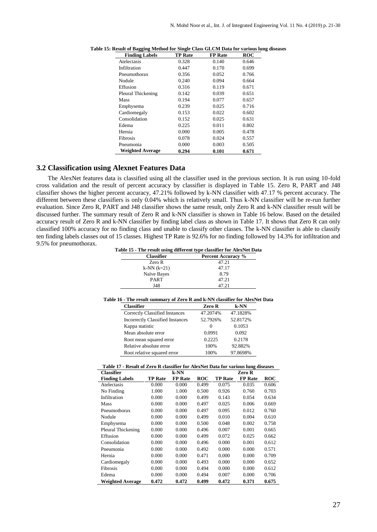| <b>Finding Labels</b>   | <b>TP Rate</b> | <b>FP</b> Rate | <b>ROC</b> |
|-------------------------|----------------|----------------|------------|
| Atelectasis             | 0.328          | 0.140          | 0.646      |
| Infiltration            | 0.447          | 0.170          | 0.699      |
| Pneumothorax            | 0.356          | 0.052          | 0.766      |
| Nodule                  | 0.240          | 0.094          | 0.664      |
| Effusion                | 0.316          | 0.119          | 0.671      |
| Pleural Thickening      | 0.142          | 0.039          | 0.651      |
| Mass                    | 0.194          | 0.077          | 0.657      |
| Emphysema               | 0.239          | 0.025          | 0.716      |
| Cardiomegaly            | 0.153          | 0.022          | 0.602      |
| Consolidation           | 0.152          | 0.025          | 0.631      |
| Edema                   | 0.225          | 0.011          | 0.802      |
| Hernia                  | 0.000          | 0.005          | 0.478      |
| Fibrosis                | 0.078          | 0.024          | 0.557      |
| Pneumonia               | 0.000          | 0.003          | 0.505      |
| <b>Weighted Average</b> | 0.294          | 0.101          | 0.671      |

**Table 15: Result of Bagging Method for Single Class GLCM Data for various lung diseases**

# **3.2 Classification using Alexnet Features Data**

The AlexNet features data is classified using all the classifier used in the previous section. It is run using 10-fold cross validation and the result of percent accuracy by classifier is displayed in [Table 1](#page-3-0)5. Zero R, PART and J48 classifier shows the higher percent accuracy, 47.21% followed by k-NN classifier with 47.17 % percent accuracy. The different between these classifiers is only 0.04% which is relatively small. Thus k-NN classifier will be re-run further evaluation. Since Zero R, PART and J48 classifier shows the same result, only Zero R and k-NN classifier result will be discussed further. The summary result of Zero R and k-NN classifier is shown in Table 16 below. Based on the detailed accuracy result of Zero R and k-NN classifier by finding label class as shown in Table 17. It shows that Zero R can only classified 100% accuracy for no finding class and unable to classify other classes. The k-NN classifier is able to classify ten finding labels classes out of 15 classes. Highest TP Rate is 92.6% for no finding followed by 14.3% for infiltration and 9.5% for pneumothorax.

**Table 15 - The result using different type classifier for AlexNet Data**

| <b>Classifier</b> | <b>Percent Accuracy</b> % |
|-------------------|---------------------------|
| Zero R            | 47.21                     |
| $k-NN (k=21)$     | 47.17                     |
| Naïve Bayes       | 8.79                      |
| <b>PART</b>       | 47.21                     |
| J48               | 47.21                     |
|                   |                           |

|  | Table 16 - The result summary of Zero R and k-NN classifier for AlexNet Data |  |  |
|--|------------------------------------------------------------------------------|--|--|
|--|------------------------------------------------------------------------------|--|--|

| <b>Classifier</b>                       | Zero R   | $k-NN$   |
|-----------------------------------------|----------|----------|
| Correctly Classified Instances          | 47.2074% | 47.1828% |
| <b>Incorrectly Classified Instances</b> | 52.7926% | 52.8172% |
| Kappa statistic                         | $\Omega$ | 0.1053   |
| Mean absolute error                     | 0.0991   | 0.092    |
| Root mean squared error                 | 0.2225   | 0.2178   |
| Relative absolute error                 | 100%     | 92.882%  |
| Root relative squared error             | 100%     | 97.8698% |

**Table 17 - Result of Zero R classifier for AlexNet Data for various lung diseases**

| <b>Classifier</b>       |                | k-NN           |       |                | Zero R         |            |
|-------------------------|----------------|----------------|-------|----------------|----------------|------------|
| <b>Finding Labels</b>   | <b>TP Rate</b> | <b>FP</b> Rate | ROC   | <b>TP Rate</b> | <b>FP</b> Rate | <b>ROC</b> |
| Atelectasis             | 0.000          | 0.000          | 0.499 | 0.075          | 0.035          | 0.606      |
| No Finding              | 1.000          | 1.000          | 0.500 | 0.926          | 0.760          | 0.703      |
| Infiltration            | 0.000          | 0.000          | 0.499 | 0.143          | 0.054          | 0.634      |
| Mass                    | 0.000          | 0.000          | 0.497 | 0.025          | 0.006          | 0.669      |
| Pneumothorax            | 0.000          | 0.000          | 0.497 | 0.095          | 0.012          | 0.760      |
| Nodule                  | 0.000          | 0.000          | 0.499 | 0.010          | 0.004          | 0.610      |
| Emphysema               | 0.000          | 0.000          | 0.500 | 0.048          | 0.002          | 0.758      |
| Pleural Thickening      | 0.000          | 0.000          | 0.496 | 0.007          | 0.001          | 0.665      |
| Effusion                | 0.000          | 0.000          | 0.499 | 0.072          | 0.025          | 0.662      |
| Consolidation           | 0.000          | 0.000          | 0.496 | 0.000          | 0.001          | 0.612      |
| Pneumonia               | 0.000          | 0.000          | 0.492 | 0.000          | 0.000          | 0.571      |
| Hernia                  | 0.000          | 0.000          | 0.471 | 0.000          | 0.000          | 0.709      |
| Cardiomegaly            | 0.000          | 0.000          | 0.493 | 0.000          | 0.000          | 0.652      |
| Fibrosis                | 0.000          | 0.000          | 0.494 | 0.000          | 0.000          | 0.612      |
| Edema                   | 0.000          | 0.000          | 0.494 | 0.007          | 0.000          | 0.706      |
| <b>Weighted Average</b> | 0.472          | 0.472          | 0.499 | 0.472          | 0.371          | 0.675      |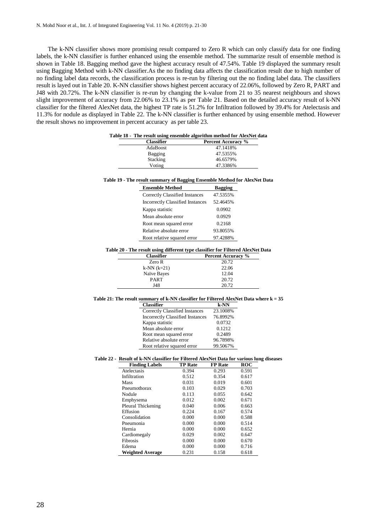The k-NN classifier shows more promising result compared to Zero R which can only classify data for one finding labels, the k-NN classifier is further enhanced using the ensemble method. The summarize result of ensemble method is shown in Table 18. Bagging method gave the highest accuracy result of 47.54%. Table 19 displayed the summary result using Bagging Method with k-NN classifier.As the no finding data affects the classification result due to high number of no finding label data records, the classification process is re-run by filtering out the no finding label data. The classifiers result is layed out in Table 20. K-NN classifier shows highest percent accuracy of 22.06%, followed by Zero R, PART and J48 with 20.72%. The k-NN classifier is re-run by changing the k-value from 21 to 35 nearest neighbours and shows slight improvement of accuracy from 22.06% to 23.1% as per Table 21. Based on the detailed accuracy result of k-NN classifier for the filtered AlexNet data, the highest TP rate is 51.2% for Infiltration followed by 39.4% for Atelectasis and 11.3% for nodule as displayed in Table 22. The k-NN classifier is further enhanced by using ensemble method. However the result shows no improvement in percent accuracy as per table 23.

| <b>Classifier</b> | <b>Percent Accuracy</b> % |
|-------------------|---------------------------|
| AdaBoost          | 47.1418%                  |
| Bagging           | 47.5355%                  |
| Stacking          | 46.6579%                  |
| Voting            | 47.3386%                  |

| <b>Ensemble Method</b>                  | Bagging  |
|-----------------------------------------|----------|
| Correctly Classified Instances          | 47.5355% |
| <b>Incorrectly Classified Instances</b> | 52.4645% |
| Kappa statistic                         | 0.0902   |
| Mean absolute error                     | 0.0929   |
| Root mean squared error                 | 0.2168   |
| Relative absolute error                 | 93.8055% |
| Root relative squared error             | 97.4288% |

#### **Table 20 - The result using different type classifier for Filtered AlexNet Data**

| <b>Classifier</b> | <b>Percent Accuracy %</b> |
|-------------------|---------------------------|
| Zero R            | 20.72                     |
| $k-NN (k=21)$     | 22.06                     |
| Naïve Bayes       | 12.04                     |
| <b>PART</b>       | 20.72                     |
| <b>I48</b>        | 20.72                     |

### **Table 21: The result summary of k-NN classifier for Filtered AlexNet Data where k = 35**

| <b>Classifier</b>                       | k-NN     |
|-----------------------------------------|----------|
| Correctly Classified Instances          | 23.1008% |
| <b>Incorrectly Classified Instances</b> | 76.8992% |
| Kappa statistic                         | 0.0732   |
| Mean absolute error                     | 0.1212   |
| Root mean squared error                 | 0.2489   |
| Relative absolute error                 | 96.7898% |
| Root relative squared error             | 99.5067% |

# **Table 22 - Result of k-NN classifier for Filtered AlexNet Data for various lung diseases**

| <b>Finding Labels</b>   | <b>TP Rate</b> | <b>FP</b> Rate | <b>ROC</b> |
|-------------------------|----------------|----------------|------------|
| Atelectasis             | 0.394          | 0.293          | 0.591      |
| Infiltration            | 0.512          | 0.354          | 0.617      |
| Mass                    | 0.031          | 0.019          | 0.601      |
| Pneumothorax            | 0.103          | 0.029          | 0.703      |
| Nodule                  | 0.113          | 0.055          | 0.642      |
| Emphysema               | 0.012          | 0.002          | 0.671      |
| Pleural Thickening      | 0.040          | 0.006          | 0.663      |
| Effusion                | 0.224          | 0.167          | 0.574      |
| Consolidation           | 0.000          | 0.000          | 0.588      |
| Pneumonia               | 0.000          | 0.000          | 0.514      |
| Hernia                  | 0.000          | 0.000          | 0.652      |
| Cardiomegaly            | 0.029          | 0.002          | 0.647      |
| Fibrosis                | 0.000          | 0.000          | 0.670      |
| Edema                   | 0.000          | 0.000          | 0.716      |
| <b>Weighted Average</b> | 0.231          | 0.158          | 0.618      |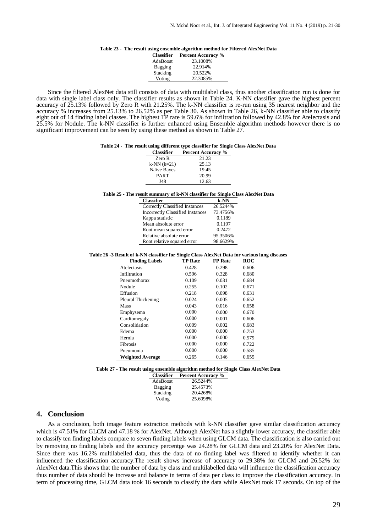#### **Table 23 - The result using ensemble algorithm method for Filtered AlexNet Data**

| <b>Classifier</b> | <b>Percent Accuracy %</b> |
|-------------------|---------------------------|
| AdaBoost          | 23.1008%                  |
| Bagging           | 22.914%                   |
| Stacking          | 20.522%                   |
| Voting            | 22.3085%                  |

Since the filtered AlexNet data still consists of data with multilabel class, thus another classification run is done for data with single label class only. The classifier results as shown in Table 24. K-NN classifier gave the highest percent accuracy of 25.13% followed by Zero R with 21.25%. The k-NN classifier is re-run using 35 nearest neighbor and the accuracy % increases from 25.13% to 26.52% as per Table 30. As shown in Table 26, k-NN classifier able to classify eight out of 14 finding label classes. The highest TP rate is 59.6% for infiltration followed by 42.8% for Atelectasis and 25.5% for Nodule. The k-NN classifier is further enhanced using Ensemble algorithm methods however there is no significant improvement can be seen by using these method as shown in Table 27.

#### **Table 24 - The result using different type classifier for Single Class AlexNet Data**

| <b>Classifier</b> | <b>Percent Accuracy %</b> |
|-------------------|---------------------------|
| Zero R            | 21.23                     |
| $k-NN (k=21)$     | 25.13                     |
| Naïve Bayes       | 19.45                     |
| <b>PART</b>       | 20.99                     |
| J48               | 12.63                     |

#### **Table 25 - The result summary of k-NN classifier for Single Class AlexNet Data**

| k-NN     |
|----------|
| 26.5244% |
| 73.4756% |
| 0.1189   |
| 0.1197   |
| 0.2472   |
| 95.3506% |
| 98.6629% |
|          |

#### **Table 26 -3 Result of k-NN classifier for Single Class AlexNet Data for various lung diseases**

| <b>Finding Labels</b>   | <b>TP Rate</b> | <b>FP</b> Rate | <b>ROC</b> |
|-------------------------|----------------|----------------|------------|
| Atelectasis             | 0.428          | 0.298          | 0.606      |
| Infiltration            | 0.596          | 0.328          | 0.680      |
| Pneumothorax            | 0.109          | 0.031          | 0.684      |
| Nodule                  | 0.255          | 0.102          | 0.671      |
| Effusion                | 0.218          | 0.098          | 0.631      |
| Pleural Thickening      | 0.024          | 0.005          | 0.652      |
| Mass                    | 0.043          | 0.016          | 0.658      |
| Emphysema               | 0.000          | 0.000          | 0.670      |
| Cardiomegaly            | 0.000          | 0.001          | 0.606      |
| Consolidation           | 0.009          | 0.002          | 0.683      |
| Edema                   | 0.000          | 0.000          | 0.753      |
| Hernia                  | 0.000          | 0.000          | 0.579      |
| <b>Fibrosis</b>         | 0.000          | 0.000          | 0.722      |
| Pneumonia               | 0.000          | 0.000          | 0.585      |
| <b>Weighted Average</b> | 0.265          | 0.146          | 0.655      |

#### **Table 27 - The result using ensemble algorithm method for Single Class AlexNet Data**

| <b>Classifier</b> | <b>Percent Accuracy %</b> |
|-------------------|---------------------------|
| AdaBoost          | 26.5244%                  |
| Bagging           | 25.4573%                  |
| Stacking          | 20.4268%                  |
| Voting            | 25.6098%                  |

# **4. Conclusion**

As a conclusion, both image feature extraction methods with k-NN classifier gave similar classification accuracy which is 47.51% for GLCM and 47.18 % for AlexNet. Although AlexNet has a slightly lower accuracy, the classifier able to classify ten finding labels compare to seven finding labels when using GLCM data. The classification is also carried out by removing no finding labels and the accuracy percentge was 24.28% for GLCM data and 23.20% for AlexNet Data. Since there was 16.2% multilabelled data, thus the data of no finding label was filtered to identify whether it can influenced the classification accuracy.The result shows increase of accuracy to 29.38% for GLCM and 26.52% for AlexNet data.This shows that the number of data by class and multilabelled data will influence the classification accuracy thus number of data should be increase and balance in terms of data per class to improve the classification accuracy. In term of processing time, GLCM data took 16 seconds to classify the data while AlexNet took 17 seconds. On top of the